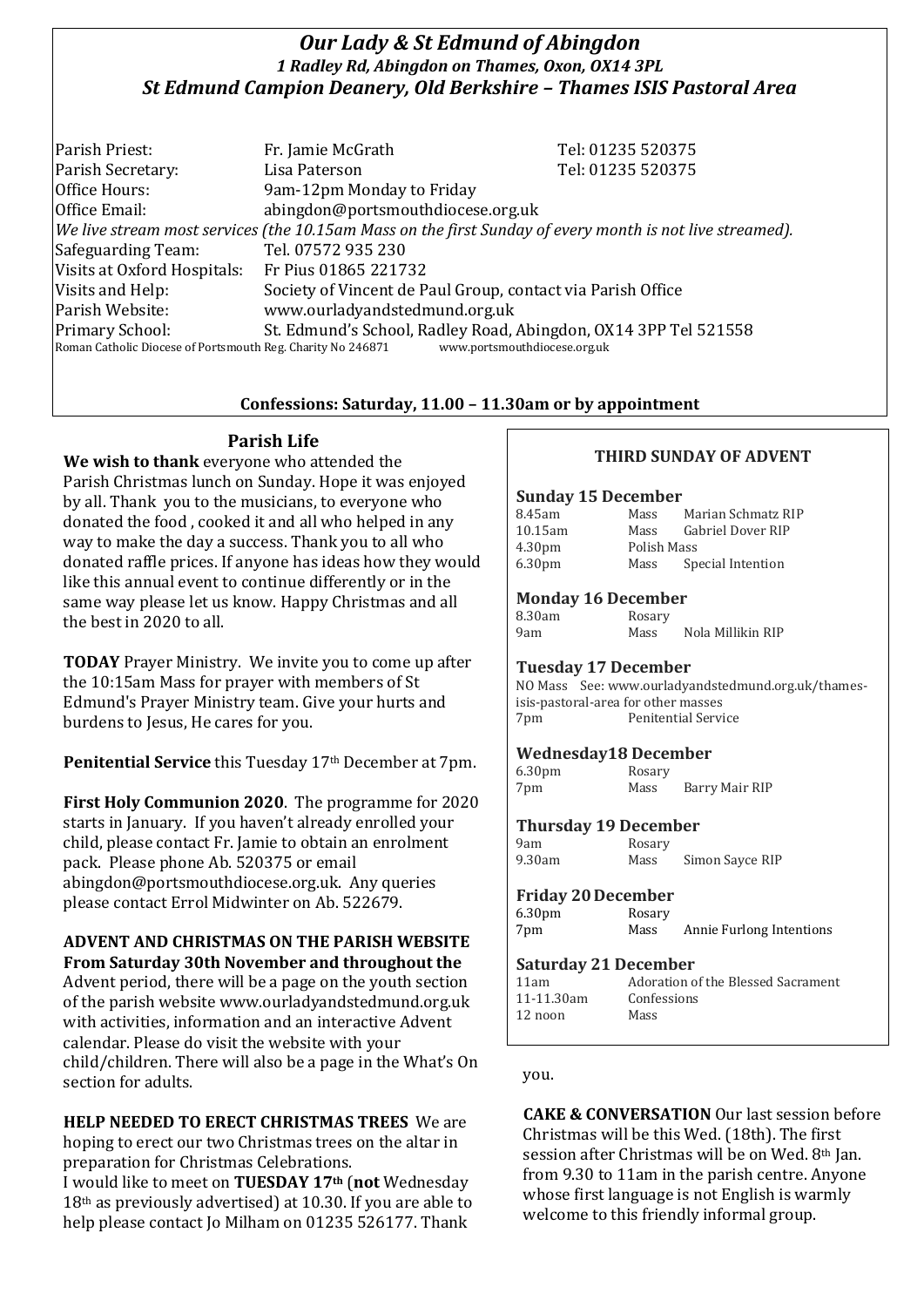## *Our Lady & St Edmund of Abingdon 1 Radley Rd, Abingdon on Thames, Oxon, OX14 3PL St Edmund Campion Deanery, Old Berkshire – Thames ISIS Pastoral Area*

| Parish Priest:                                                                                           | Fr. Jamie McGrath                                           | Tel: 01235 520375                                                                               |  |
|----------------------------------------------------------------------------------------------------------|-------------------------------------------------------------|-------------------------------------------------------------------------------------------------|--|
| Parish Secretary:                                                                                        | Lisa Paterson                                               | Tel: 01235 520375                                                                               |  |
| Office Hours:                                                                                            | 9am-12pm Monday to Friday                                   |                                                                                                 |  |
| Office Email:                                                                                            | abingdon@portsmouthdiocese.org.uk                           |                                                                                                 |  |
| We live stream most services (the 10.15am Mass on the first Sunday of every month is not live streamed). |                                                             |                                                                                                 |  |
| Safeguarding Team:                                                                                       | Tel. 07572 935 230                                          |                                                                                                 |  |
| Visits at Oxford Hospitals: Fr Pius 01865 221732                                                         |                                                             |                                                                                                 |  |
| Visits and Help:                                                                                         | Society of Vincent de Paul Group, contact via Parish Office |                                                                                                 |  |
| Parish Website:                                                                                          | www.ourladyandstedmund.org.uk                               |                                                                                                 |  |
| Primary School:<br>Roman Catholic Diocese of Portsmouth Reg. Charity No 246871                           |                                                             | St. Edmund's School, Radley Road, Abingdon, OX14 3PP Tel 521558<br>www.portsmouthdiocese.org.uk |  |

### **Confessions: Saturday, 11.00 – 11.30am or by appointment**

## **Parish Life**

**We wish to thank** everyone who attended the Parish Christmas lunch on Sunday. Hope it was enjoyed by all. Thank you to the musicians, to everyone who donated the food , cooked it and all who helped in any way to make the day a success. Thank you to all who donated raffle prices. If anyone has ideas how they would like this annual event to continue differently or in the same way please let us know. Happy Christmas and all the best in 2020 to all.

**TODAY** Prayer Ministry. We invite you to come up after the 10:15am Mass for prayer with members of St Edmund's Prayer Ministry team. Give your hurts and burdens to Jesus, He cares for you.

**Penitential Service** this Tuesday 17th December at 7pm.

**First Holy Communion 2020**. The programme for 2020 starts in January. If you haven't already enrolled your child, please contact Fr. Jamie to obtain an enrolment pack. Please phone Ab. 520375 or email abingdon@portsmouthdiocese.org.uk. Any queries please contact Errol Midwinter on Ab. 522679.

# **ADVENT AND CHRISTMAS ON THE PARISH WEBSITE**

**From Saturday 30th November and throughout the**  Advent period, there will be a page on the youth section of the parish website www.ourladyandstedmund.org.uk with activities, information and an interactive Advent calendar. Please do visit the website with your child/children. There will also be a page in the What's On section for adults.

**HELP NEEDED TO ERECT CHRISTMAS TREES** We are hoping to erect our two Christmas trees on the altar in preparation for Christmas Celebrations.

I would like to meet on **TUESDAY 17th** (**not** Wednesday 18th as previously advertised) at 10.30. If you are able to help please contact Jo Milham on 01235 526177. Thank

### **THIRD SUNDAY OF ADVENT**

#### **Sunday 15 December**

| 8.45am             | Mass        | Marian Schmatz RIP |
|--------------------|-------------|--------------------|
| 10.15am            | Mass        | Gabriel Dover RIP  |
| 4.30 <sub>pm</sub> | Polish Mass |                    |
| 6.30 <sub>pm</sub> | Mass        | Special Intention  |

#### **Monday 16 December**

| 8.30am | Rosary |                   |
|--------|--------|-------------------|
| 9am    | Mass   | Nola Millikin RIP |

#### **Tuesday 17 December**

NO Mass See: www.ourladyandstedmund.org.uk/thamesisis-pastoral-area for other masses 7pm Penitential Service

#### **Wednesday18 December**

6.30pm Rosary 7pm Mass Barry Mair RIP

#### **Thursday 19 December**

9am Rosary<br>9.30am Mass

Mass Simon Sayce RIP

#### **Friday 20December**

| 6.30 <sub>pm</sub> | Rosary |                          |
|--------------------|--------|--------------------------|
| 7pm                | Mass   | Annie Furlong Intentions |

#### **Saturday 21 December**

| 11am       | Adoration of the Blessed Sacrament |
|------------|------------------------------------|
| 11-11.30am | Confessions                        |
| $12$ noon  | Mass                               |
|            |                                    |

you.

**CAKE & CONVERSATION** Our last session before Christmas will be this Wed. (18th). The first session after Christmas will be on Wed. 8th Jan. from 9.30 to 11am in the parish centre. Anyone whose first language is not English is warmly welcome to this friendly informal group.